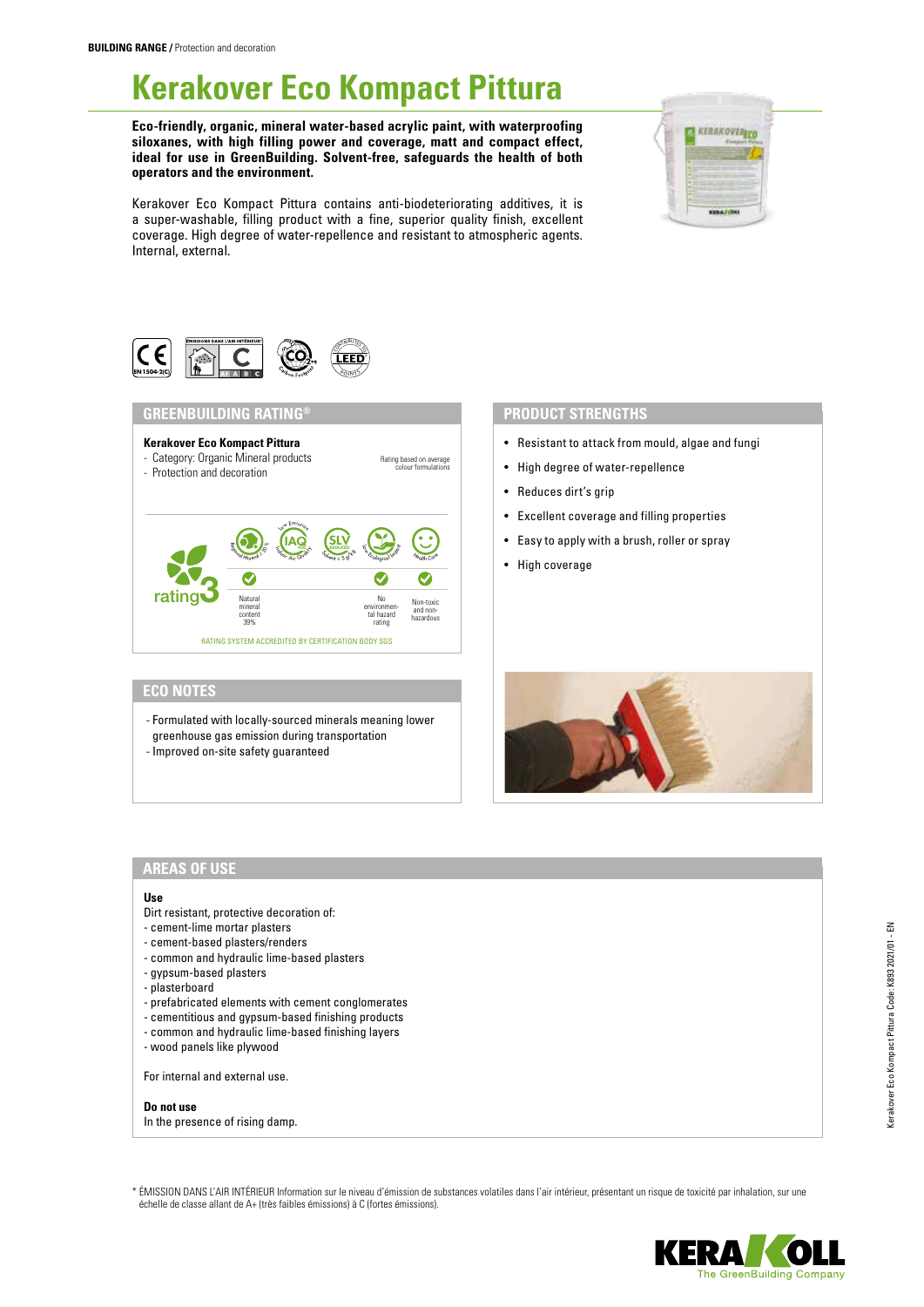# **Kerakover Eco Kompact Pittura**

**Eco-friendly, organic, mineral water-based acrylic paint, with waterproofing siloxanes, with high filling power and coverage, matt and compact effect, ideal for use in GreenBuilding. Solvent-free, safeguards the health of both operators and the environment.**

Kerakover Eco Kompact Pittura contains anti-biodeteriorating additives, it is a super-washable, filling product with a fine, superior quality finish, excellent coverage. High degree of water-repellence and resistant to atmospheric agents. Internal, external.





## **GREENBUILDING RATING®**



# **ECO NOTES**

- Formulated with locally-sourced minerals meaning lower greenhouse gas emission during transportation
- 
- Improved on-site safety guaranteed

## **PRODUCT STRENGTHS**

- Resistant to attack from mould, algae and fungi
- High degree of water-repellence
- Reduces dirt's grip
- Excellent coverage and filling properties
- Easy to apply with a brush, roller or spray
- High coverage



# **AREAS OF USE**

#### **Use**

- Dirt resistant, protective decoration of:
- cement-lime mortar plasters
- cement-based plasters/renders
- common and hydraulic lime-based plasters
- gypsum-based plasters
- plasterboard
- prefabricated elements with cement conglomerates
- cementitious and gypsum-based finishing products
- common and hydraulic lime-based finishing layers
- wood panels like plywood

For internal and external use.

**Do not use** In the presence of rising damp.

\* ÉMISSION DANS L'AIR INTÉRIEUR Information sur le niveau d'émission de substances volatiles dans l'air intérieur, présentant un risque de toxicité par inhalation, sur une échelle de classe allant de A+ (très faibles émissions) à C (fortes émissions).

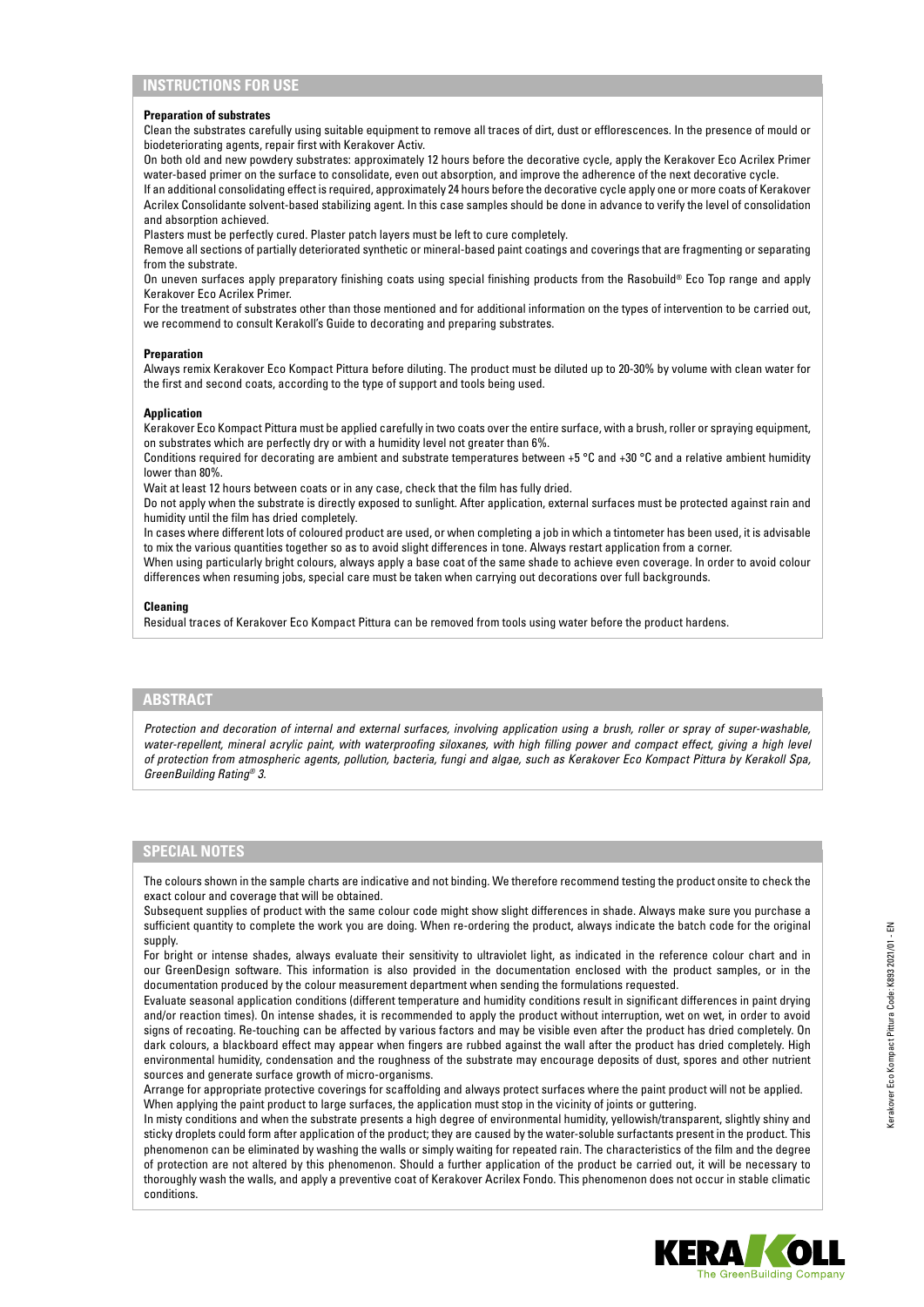#### **Preparation of substrates**

Clean the substrates carefully using suitable equipment to remove all traces of dirt, dust or efflorescences. In the presence of mould or biodeteriorating agents, repair first with Kerakover Activ.

On both old and new powdery substrates: approximately 12 hours before the decorative cycle, apply the Kerakover Eco Acrilex Primer water-based primer on the surface to consolidate, even out absorption, and improve the adherence of the next decorative cycle.

If an additional consolidating effect is required, approximately 24 hours before the decorative cycle apply one or more coats of Kerakover Acrilex Consolidante solvent-based stabilizing agent. In this case samples should be done in advance to verify the level of consolidation and absorption achieved.

Plasters must be perfectly cured. Plaster patch layers must be left to cure completely.

Remove all sections of partially deteriorated synthetic or mineral-based paint coatings and coverings that are fragmenting or separating from the substrate.

On uneven surfaces apply preparatory finishing coats using special finishing products from the Rasobuild® Eco Top range and apply Kerakover Eco Acrilex Primer.

For the treatment of substrates other than those mentioned and for additional information on the types of intervention to be carried out, we recommend to consult Kerakoll's Guide to decorating and preparing substrates.

#### **Preparation**

Always remix Kerakover Eco Kompact Pittura before diluting. The product must be diluted up to 20-30% by volume with clean water for the first and second coats, according to the type of support and tools being used.

#### **Application**

Kerakover Eco Kompact Pittura must be applied carefully in two coats over the entire surface, with a brush, roller or spraying equipment, on substrates which are perfectly dry or with a humidity level not greater than 6%.

Conditions required for decorating are ambient and substrate temperatures between +5 °C and +30 °C and a relative ambient humidity lower than 80%.

Wait at least 12 hours between coats or in any case, check that the film has fully dried.

Do not apply when the substrate is directly exposed to sunlight. After application, external surfaces must be protected against rain and humidity until the film has dried completely.

In cases where different lots of coloured product are used, or when completing a job in which a tintometer has been used, it is advisable to mix the various quantities together so as to avoid slight differences in tone. Always restart application from a corner.

When using particularly bright colours, always apply a base coat of the same shade to achieve even coverage. In order to avoid colour differences when resuming jobs, special care must be taken when carrying out decorations over full backgrounds.

#### **Cleaning**

Residual traces of Kerakover Eco Kompact Pittura can be removed from tools using water before the product hardens.

### **ABSTRACT**

*Protection and decoration of internal and external surfaces, involving application using a brush, roller or spray of super-washable,*  water-repellent, mineral acrylic paint, with waterproofing siloxanes, with high filling power and compact effect, giving a high level *of protection from atmospheric agents, pollution, bacteria, fungi and algae, such as Kerakover Eco Kompact Pittura by Kerakoll Spa, GreenBuilding Rating® 3.*

## **SPECIAL NOTES**

The colours shown in the sample charts are indicative and not binding. We therefore recommend testing the product onsite to check the exact colour and coverage that will be obtained.

Subsequent supplies of product with the same colour code might show slight differences in shade. Always make sure you purchase a sufficient quantity to complete the work you are doing. When re-ordering the product, always indicate the batch code for the original supply.

For bright or intense shades, always evaluate their sensitivity to ultraviolet light, as indicated in the reference colour chart and in our GreenDesign software. This information is also provided in the documentation enclosed with the product samples, or in the documentation produced by the colour measurement department when sending the formulations requested.

Evaluate seasonal application conditions (different temperature and humidity conditions result in significant differences in paint drying and/or reaction times). On intense shades, it is recommended to apply the product without interruption, wet on wet, in order to avoid signs of recoating. Re-touching can be affected by various factors and may be visible even after the product has dried completely. On dark colours, a blackboard effect may appear when fingers are rubbed against the wall after the product has dried completely. High environmental humidity, condensation and the roughness of the substrate may encourage deposits of dust, spores and other nutrient sources and generate surface growth of micro-organisms.

Arrange for appropriate protective coverings for scaffolding and always protect surfaces where the paint product will not be applied. When applying the paint product to large surfaces, the application must stop in the vicinity of joints or guttering.

In misty conditions and when the substrate presents a high degree of environmental humidity, yellowish/transparent, slightly shiny and sticky droplets could form after application of the product; they are caused by the water-soluble surfactants present in the product. This phenomenon can be eliminated by washing the walls or simply waiting for repeated rain. The characteristics of the film and the degree of protection are not altered by this phenomenon. Should a further application of the product be carried out, it will be necessary to thoroughly wash the walls, and apply a preventive coat of Kerakover Acrilex Fondo. This phenomenon does not occur in stable climatic conditions.